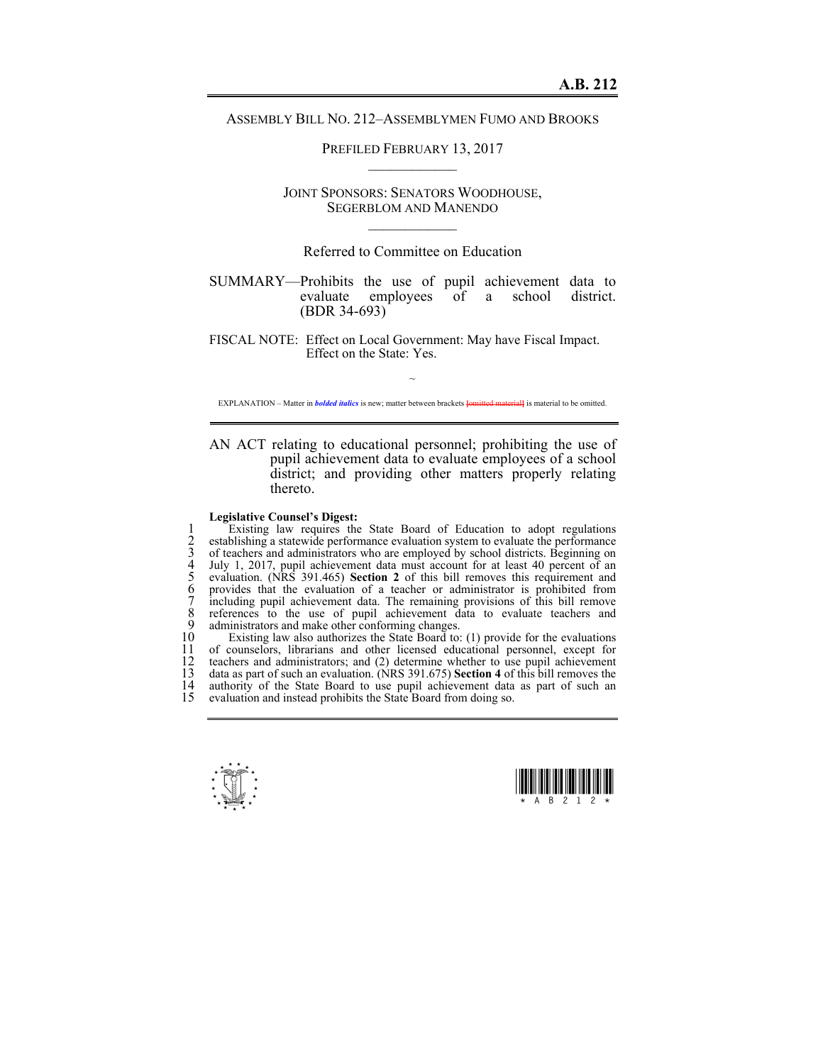## ASSEMBLY BILL NO. 212–ASSEMBLYMEN FUMO AND BROOKS

PREFILED FEBRUARY 13, 2017  $\mathcal{L}_\text{max}$ 

JOINT SPONSORS: SENATORS WOODHOUSE, SEGERBLOM AND MANENDO  $\mathcal{L}_\text{max}$ 

Referred to Committee on Education

SUMMARY—Prohibits the use of pupil achievement data to evaluate employees of a school district. (BDR 34-693)

FISCAL NOTE: Effect on Local Government: May have Fiscal Impact. Effect on the State: Yes.

~ EXPLANATION – Matter in *bolded italics* is new; matter between brackets **[**omitted material**]** is material to be omitted.

AN ACT relating to educational personnel; prohibiting the use of pupil achievement data to evaluate employees of a school district; and providing other matters properly relating thereto.

## **Legislative Counsel's Digest:**

Existing law requires the State Board of Education to adopt regulations<br>
2 establishing a statewide performance evaluation system to evaluate the performance<br>
3 of teachers and administrators who are employed by school dis establishing a statewide performance evaluation system to evaluate the performance of teachers and administrators who are employed by school districts. Beginning on July 1, 2017, pupil achievement data must account for at least 40 percent of an 5 evaluation. (NRS 391.465) **Section 2** of this bill removes this requirement and 6 provides that the evaluation of a teacher or administrator is prohibited from 7 including pupil achievement data. The remaining provisions of this bill remove 8 references to the use of pupil achievement data to evaluate teachers and 9 administrators and make other conforming changes.<br>10 Existing law also authorizes the State Board to:

10 Existing law also authorizes the State Board to: (1) provide for the evaluations 11 of counselors, librarians and other licensed educational personnel, except for 12 teachers and administrators: and (2) determine whether to use punil achievement 12 teachers and administrators; and (2) determine whether to use pupil achievement 13 data as part of such an evaluation. (NRS 391.675) **Section 4** of this bill removes the 13 data as part of such an evaluation. (NRS 391.675) **Section 4** of this bill removes the 14 authority of the State Board to use pupil achievement data as part of such an evaluation and instead prohibits the State Board from doing so evaluation and instead prohibits the State Board from doing so.



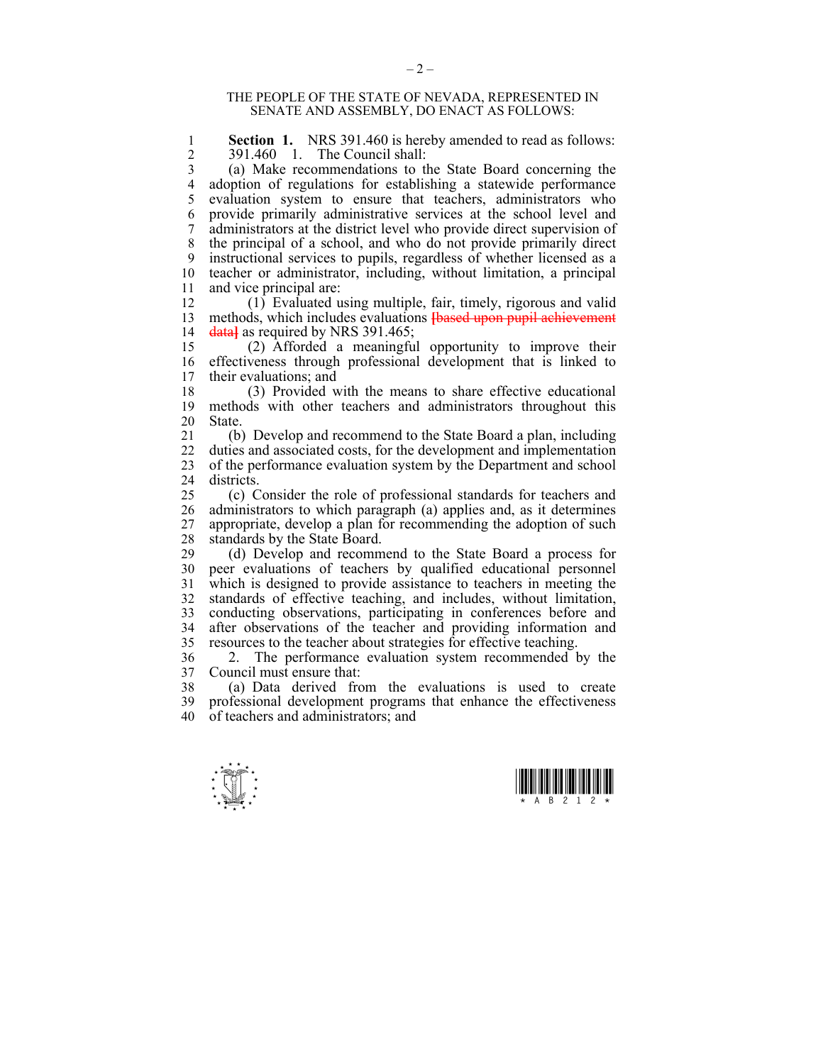## THE PEOPLE OF THE STATE OF NEVADA, REPRESENTED IN SENATE AND ASSEMBLY, DO ENACT AS FOLLOWS:

1 **Section 1.** NRS 391.460 is hereby amended to read as follows:<br>2 391.460 1 The Council shall: 2 391.460 1. The Council shall:<br>3 (a) Make recommendations to t

3 (a) Make recommendations to the State Board concerning the 4 adoption of regulations for establishing a statewide performance 5 evaluation system to ensure that teachers, administrators who 6 provide primarily administrative services at the school level and 7 administrators at the district level who provide direct supervision of 8 the principal of a school, and who do not provide primarily direct 9 instructional services to pupils, regardless of whether licensed as a 10 teacher or administrator, including, without limitation, a principal 11 and vice principal are:

12 (1) Evaluated using multiple, fair, timely, rigorous and valid 13 methods, which includes evaluations **[**based upon pupil achievement 14 data<sup>1</sup> as required by NRS 391.465;

15 (2) Afforded a meaningful opportunity to improve their 16 effectiveness through professional development that is linked to 17 their evaluations; and

18 (3) Provided with the means to share effective educational 19 methods with other teachers and administrators throughout this 20 State.<br>21 (b)

21 (b) Develop and recommend to the State Board a plan, including 22 duties and associated costs, for the development and implementation 23 of the performance evaluation system by the Department and school 24 districts.

25 (c) Consider the role of professional standards for teachers and 26 administrators to which paragraph (a) applies and, as it determines<br>27 appropriate develop a plan for recommending the adoption of such appropriate, develop a plan for recommending the adoption of such 28 standards by the State Board.

29 (d) Develop and recommend to the State Board a process for 30 peer evaluations of teachers by qualified educational personnel 31 which is designed to provide assistance to teachers in meeting the 32 standards of effective teaching, and includes, without limitation, conducting observations, participating in conferences before and conducting observations, participating in conferences before and 34 after observations of the teacher and providing information and 35 resources to the teacher about strategies for effective teaching.

36 2. The performance evaluation system recommended by the 37 Council must ensure that:

38 (a) Data derived from the evaluations is used to create 39 professional development programs that enhance the effectiveness 40 of teachers and administrators; and



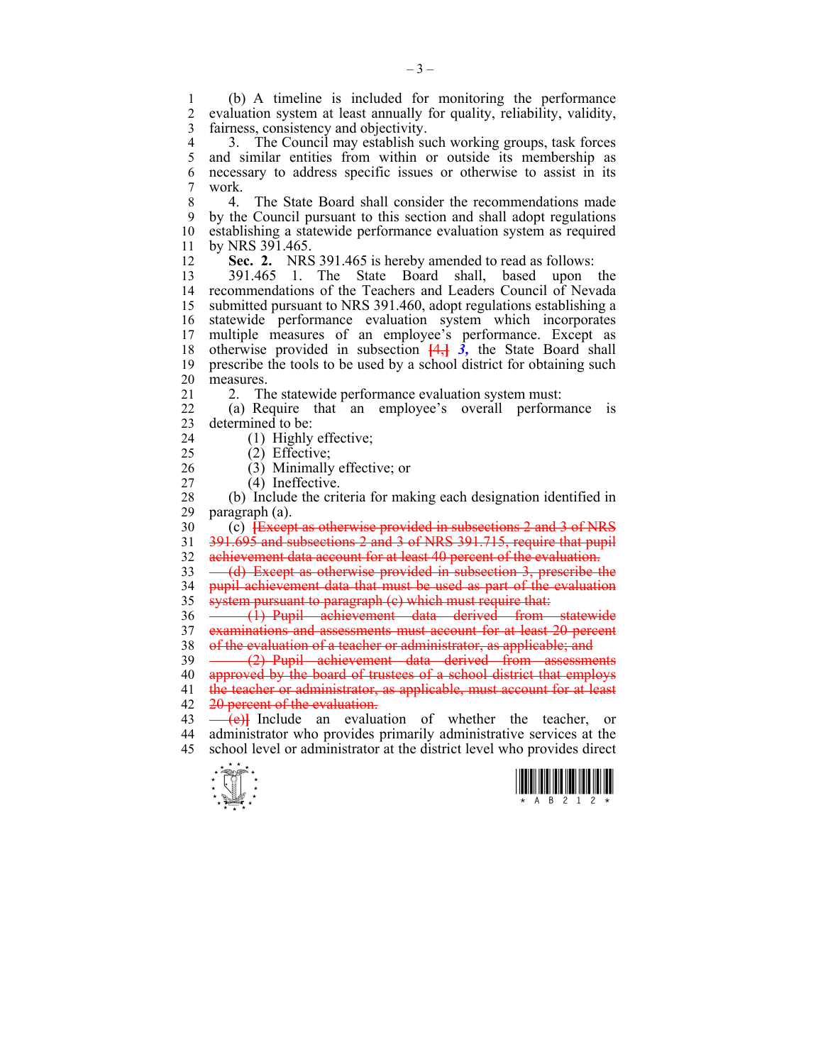1 (b) A timeline is included for monitoring the performance 2 evaluation system at least annually for quality, reliability, validity, 3 fairness, consistency and objectivity.

4 3. The Council may establish such working groups, task forces<br>5 and similar entities from within or outside its membership as and similar entities from within or outside its membership as 6 necessary to address specific issues or otherwise to assist in its 7 work.

8 4. The State Board shall consider the recommendations made 9 by the Council pursuant to this section and shall adopt regulations 10 establishing a statewide performance evaluation system as required 11 by NRS 391.465.

12 **Sec. 2.** NRS 391.465 is hereby amended to read as follows:

13 391.465 1. The State Board shall, based upon the 14 recommendations of the Teachers and Leaders Council of Nevada 15 submitted pursuant to NRS 391.460, adopt regulations establishing a 16 statewide performance evaluation system which incorporates 17 multiple measures of an employee's performance. Except as 18 otherwise provided in subsection  $\frac{4}{3}$ , the State Board shall 19 prescribe the tools to be used by a school district for obtaining such 20 measures.

21 2. The statewide performance evaluation system must:

22 (a) Require that an employee's overall performance is 23 determined to be:

- 24 (1) Highly effective;
- 25 (2) Effective;

26 (3) Minimally effective; or

27 (4) Ineffective.

28 (b) Include the criteria for making each designation identified in 29 paragraph (a).

30 (c) **[**Except as otherwise provided in subsections 2 and 3 of NRS 31 391.695 and subsections 2 and 3 of NRS 391.715, require that pupil

32 achievement data account for at least 40 percent of the evaluation.

33 (d) Except as otherwise provided in subsection 3, prescribe the 34 pupil achievement data that must be used as part of the evaluation 35 system pursuant to paragraph (e) which must require that:

36 - (1) Pupil achievement data derived from statewide 37 examinations and assessments must account for at least 20 percent 38 of the evaluation of a teacher or administrator, as applicable; and

39 (2) Pupil achievement data derived from assessments 40 approved by the board of trustees of a school district that employs 41 the teacher or administrator, as applicable, must account for at least 42 20 percent of the evaluation.

 $\overrightarrow{43}$   $\overrightarrow{+e}$ **}** Include an evaluation of whether the teacher, or 44 administrator who provides primarily administrative services at the 45 school level or administrator at the district level who provides direct



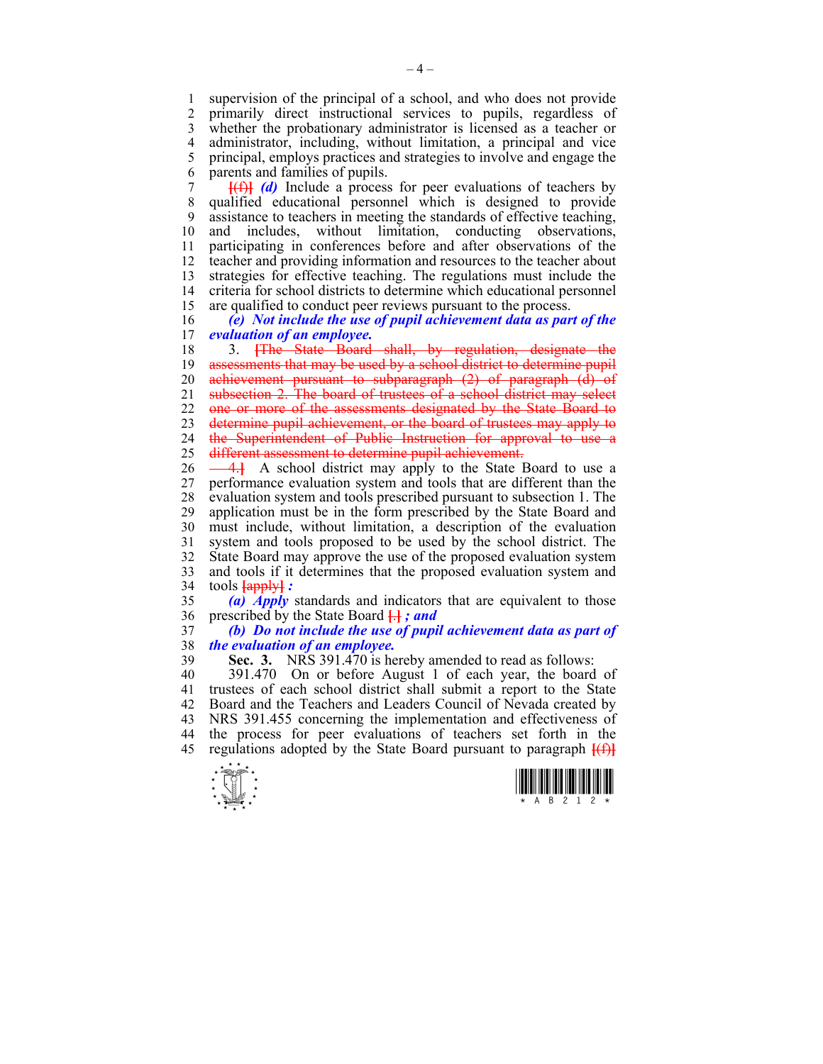1 supervision of the principal of a school, and who does not provide<br>2 primarily direct instructional services to pupils regardless of 2 primarily direct instructional services to pupils, regardless of 3 whether the probationary administrator is licensed as a teacher or 4 administrator, including, without limitation, a principal and vice<br>5 principal employs practices and strategies to involve and engage the 5 principal, employs practices and strategies to involve and engage the 6 parents and families of pupils.

7 **[**(f)**]** *(d)* Include a process for peer evaluations of teachers by 8 qualified educational personnel which is designed to provide 9 assistance to teachers in meeting the standards of effective teaching, 10 and includes, without limitation, conducting observations, 11 participating in conferences before and after observations of the 12 teacher and providing information and resources to the teacher about 13 strategies for effective teaching. The regulations must include the 14 criteria for school districts to determine which educational personnel 15 are qualified to conduct peer reviews pursuant to the process.

16 *(e) Not include the use of pupil achievement data as part of the evaluation of an employee.* 

18 3. **[**The State Board shall, by regulation, designate the 19 assessments that may be used by a school district to determine pupil 20 achievement pursuant to subparagraph (2) of paragraph (d) of 21 subsection 2. The board of trustees of a school district may select 22 one or more of the assessments designated by the State Board to 23 determine pupil achievement, or the board of trustees may apply to 24 the Superintendent of Public Instruction for approval to use a 25 different assessment to determine pupil achievement.

26 - 4. A school district may apply to the State Board to use a 27 performance evaluation system and tools that are different than the 28 evaluation system and tools prescribed pursuant to subsection 1. The 29 application must be in the form prescribed by the State Board and 30 must include, without limitation, a description of the evaluation 31 system and tools proposed to be used by the school district. The 32 State Board may approve the use of the proposed evaluation system 33 and tools if it determines that the proposed evaluation system and 34 tools **[**apply**]** *:* 

35 *(a) Apply* standards and indicators that are equivalent to those 36 prescribed by the State Board **[**.**]** *; and* 

37 *(b) Do not include the use of pupil achievement data as part of*  38 *the evaluation of an employee.* 

39 **Sec. 3.** NRS 391.470 is hereby amended to read as follows:

40 391.470 On or before August 1 of each year, the board of 41 trustees of each school district shall submit a report to the State 42 Board and the Teachers and Leaders Council of Nevada created by 43 NRS 391.455 concerning the implementation and effectiveness of 44 the process for peer evaluations of teachers set forth in the 45 regulations adopted by the State Board pursuant to paragraph **[**(f)**]**



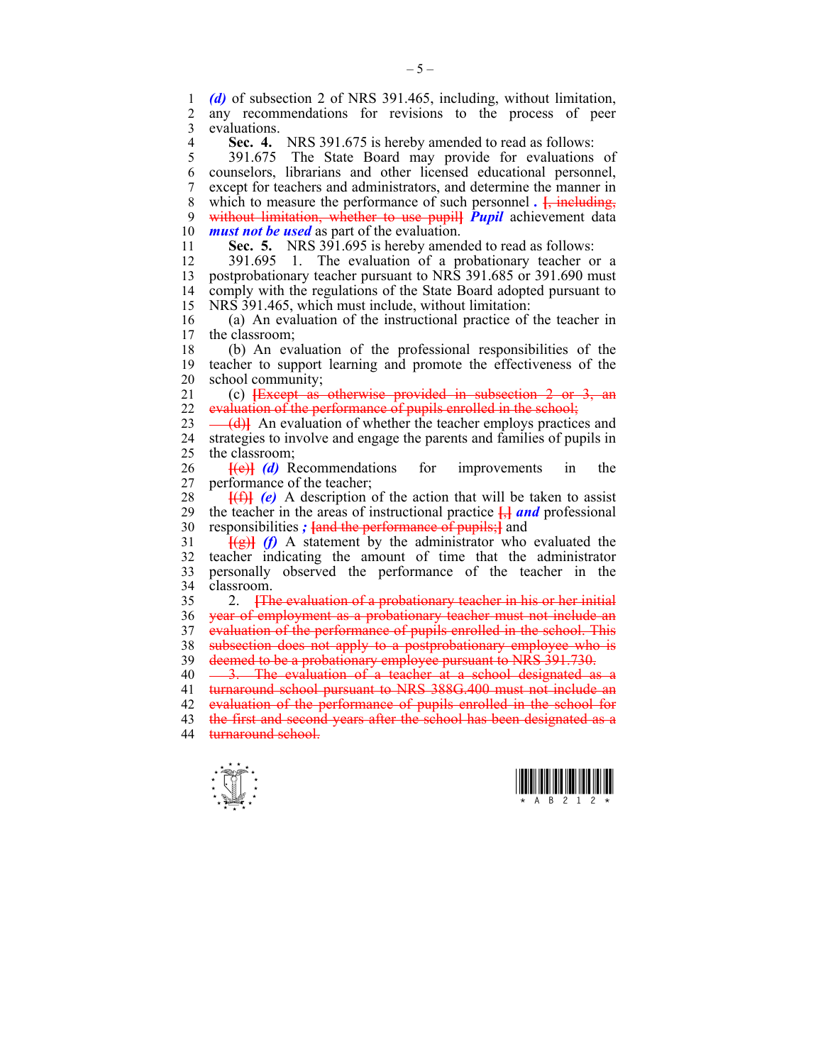1 *(d)* of subsection 2 of NRS 391.465, including, without limitation, any recommendations for revisions to the process of peer 3 evaluations.

**Sec. 4.** NRS 391.675 is hereby amended to read as follows:<br>5 391.675 The State Board may provide for evaluations

5 391.675 The State Board may provide for evaluations of 6 counselors, librarians and other licensed educational personnel, 7 except for teachers and administrators, and determine the manner in 8 which to measure the performance of such personnel *.* **[**, including, 9 without limitation, whether to use pupil**]** *Pupil* achievement data 10 *must not be used* as part of the evaluation.

11 **Sec. 5.** NRS 391.695 is hereby amended to read as follows:

12 391.695 1. The evaluation of a probationary teacher or a 13 postprobationary teacher pursuant to NRS 391.685 or 391.690 must 14 comply with the regulations of the State Board adopted pursuant to 15 NRS 391.465, which must include, without limitation:

16 (a) An evaluation of the instructional practice of the teacher in 17 the classroom the classroom:

18 (b) An evaluation of the professional responsibilities of the 19 teacher to support learning and promote the effectiveness of the 20 school community;

21 (c) **[**Except as otherwise provided in subsection 2 or 3, an 22 evaluation of the performance of pupils enrolled in the school;

 $23 \left( \frac{d}{d} \right)$  An evaluation of whether the teacher employs practices and 24 strategies to involve and engage the parents and families of pupils in 25 the classroom;

26 **[**(e)**]** *(d)* Recommendations for improvements in the 27 performance of the teacher;

 $28$  **[(f)]** *(e)* A description of the action that will be taken to assist 29 the teacher in the areas of instructional practice **[**,**]** *and* professional 30 responsibilities *;* **[**and the performance of pupils;**]** and

 $\frac{f(g)}{g}$  *(f)* A statement by the administrator who evaluated the 32 teacher indicating the amount of time that the administrator 33 personally observed the performance of the teacher in the 34 classroom.

35 2. **[**The evaluation of a probationary teacher in his or her initial 36 year of employment as a probationary teacher must not include an 37 evaluation of the performance of pupils enrolled in the school. This 38 subsection does not apply to a postprobationary employee who is 39 deemed to be a probationary employee pursuant to NRS 391.730.

40 <del>3. The evaluation of a teacher at a school designated as a</del> 41 turnaround school pursuant to NRS 388G.400 must not include an 42 evaluation of the performance of pupils enrolled in the school for 43 the first and second years after the school has been designated as a 44 turnaround school.



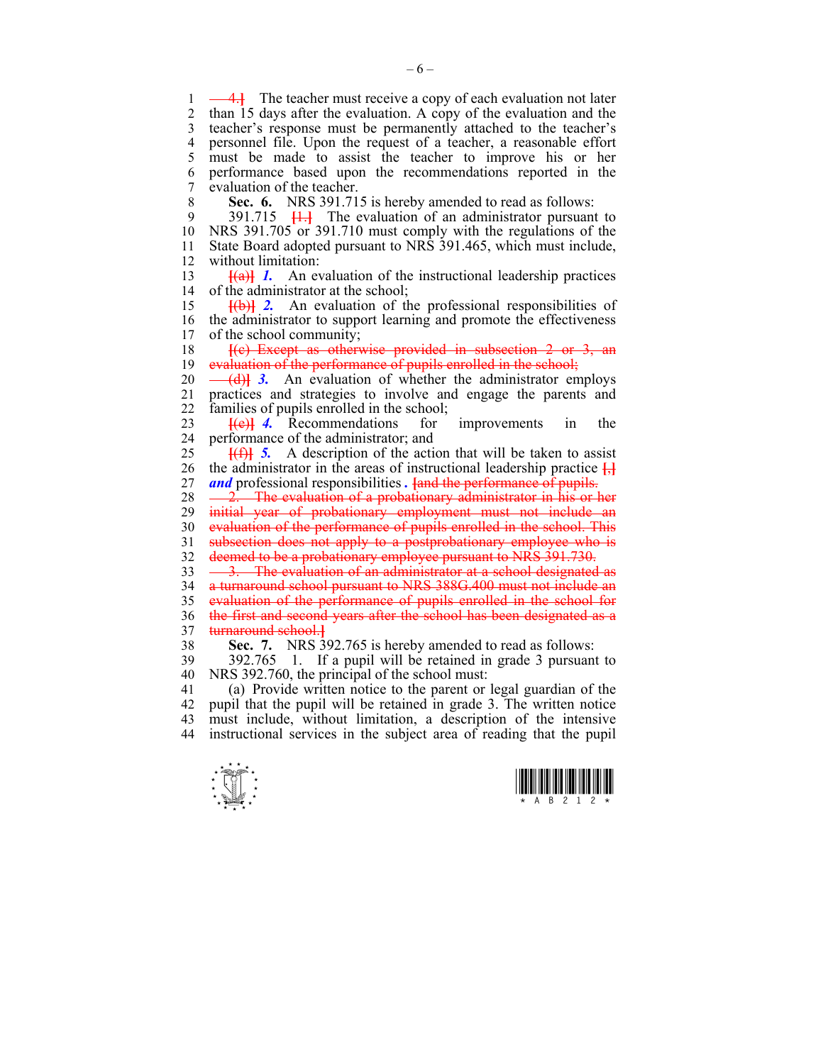1 -4.**}** The teacher must receive a copy of each evaluation not later 2 than 15 days after the evaluation. A copy of the evaluation and the 3 teacher's response must be permanently attached to the teacher's 4 personnel file. Upon the request of a teacher, a reasonable effort 5 must be made to assist the teacher to improve his or her 6 performance based upon the recommendations reported in the 7 evaluation of the teacher.

8 **Sec. 6.** NRS 391.715 is hereby amended to read as follows:

9 391.715 **[**1.**]** The evaluation of an administrator pursuant to 10 NRS 391.705 or 391.710 must comply with the regulations of the 11 State Board adopted pursuant to NRS 391.465, which must include, 12 without limitation:

13 **[**(a)**]** *1.* An evaluation of the instructional leadership practices 14 of the administrator at the school;

15 **[**(b)**]** *2.* An evaluation of the professional responsibilities of 16 the administrator to support learning and promote the effectiveness 17 of the school community: of the school community:

18 **[**(c) Except as otherwise provided in subsection 2 or 3, an 19 evaluation of the performance of pupils enrolled in the school;

20 <del>(d)</del>**1** 3. An evaluation of whether the administrator employs 21 practices and strategies to involve and engage the parents and 22 families of pupils enrolled in the school;

23 **[**(e)**]** *4.* Recommendations for improvements in the 24 performance of the administrator; and

25 **[**(f)**]** *5.* A description of the action that will be taken to assist 26 the administrator in the areas of instructional leadership practice **[**,**]** 27 *and* professional responsibilities *.* **[**and the performance of pupils.

28 - 2. The evaluation of a probationary administrator in his or her 29 initial year of probationary employment must not include an 30 evaluation of the performance of pupils enrolled in the school. This

31 subsection does not apply to a postprobationary employee who is

32 deemed to be a probationary employee pursuant to NRS 391.730.

33 <del>3. The evaluation of an administrator at a school designated as</del> 34 a turnaround school pursuant to NRS 388G.400 must not include an 35 evaluation of the performance of pupils enrolled in the school for 36 the first and second years after the school has been designated as a 37 turnaround school.**]**

38 **Sec. 7.** NRS 392.765 is hereby amended to read as follows:

39 392.765 1. If a pupil will be retained in grade 3 pursuant to 40 NRS 392.760, the principal of the school must:

41 (a) Provide written notice to the parent or legal guardian of the 42 pupil that the pupil will be retained in grade 3. The written notice 43 must include, without limitation, a description of the intensive 44 instructional services in the subject area of reading that the pupil



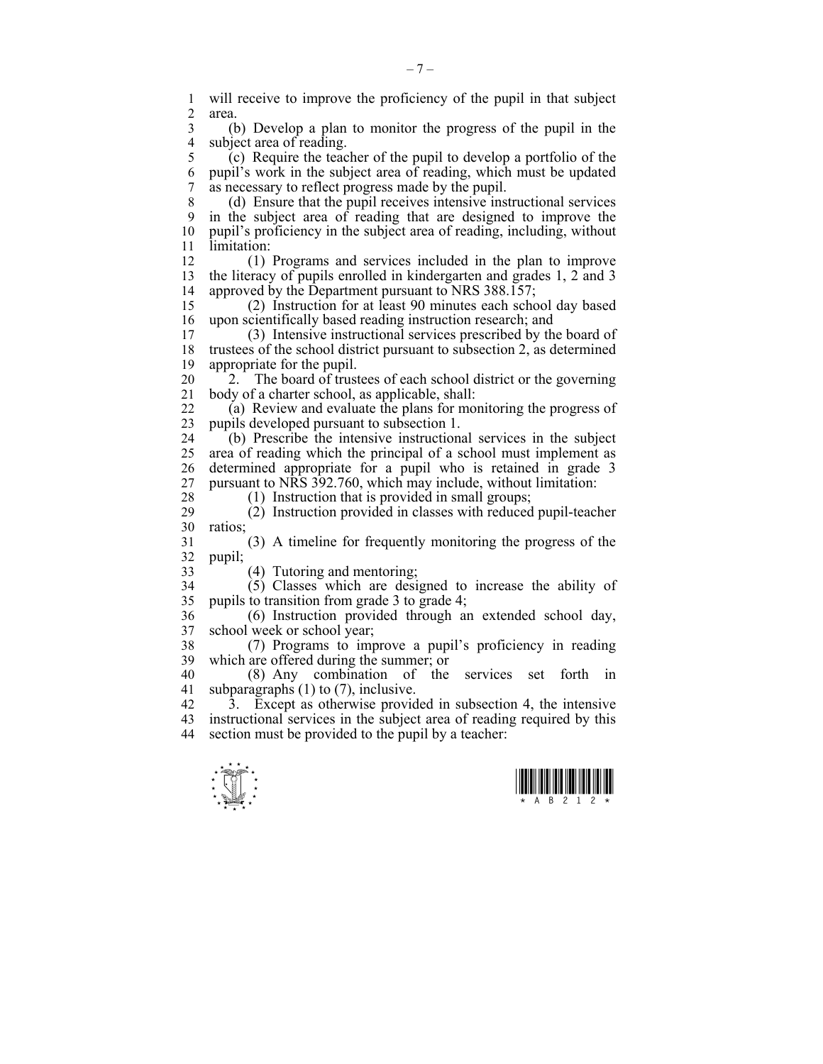$\frac{1}{\sqrt{2}}$ 1 will receive to improve the proficiency of the pupil in that subject<br>2 area area. 3 (b) Develop a plan to monitor the progress of the pupil in the 4 subject area of reading.<br>5 (c) Require the tead  $(c)$  Require the teacher of the pupil to develop a portfolio of the 6 pupil's work in the subject area of reading, which must be updated 7 as necessary to reflect progress made by the pupil. 8 (d) Ensure that the pupil receives intensive instructional services 9 in the subject area of reading that are designed to improve the 10 pupil's proficiency in the subject area of reading, including, without 11 limitation: 12 (1) Programs and services included in the plan to improve 13 the literacy of pupils enrolled in kindergarten and grades 1, 2 and 3 14 approved by the Department pursuant to NRS 388.157; 15 (2) Instruction for at least 90 minutes each school day based 16 upon scientifically based reading instruction research; and<br>17 (3) Intensive instructional services prescribed by the 17 (3) Intensive instructional services prescribed by the board of 18 trustees of the school district pursuant to subsection 2, as determined 19 appropriate for the pupil. 20 <sup>2</sup>2. The board of trustees of each school district or the governing 21 body of a charter school, as applicable, shall: 22 (a) Review and evaluate the plans for monitoring the progress of 23 pupils developed pursuant to subsection 1. 24 (b) Prescribe the intensive instructional services in the subject 25 area of reading which the principal of a school must implement as 26 determined appropriate for a pupil who is retained in grade 3 27 pursuant to NRS 392.760, which may include, without limitation: 28 (1) Instruction that is provided in small groups; 29 (2) Instruction provided in classes with reduced pupil-teacher 30 ratios; 31 (3) A timeline for frequently monitoring the progress of the 32 pupil; 33 (4) Tutoring and mentoring; 34 (5) Classes which are designed to increase the ability of 35 pupils to transition from grade 3 to grade 4; 36 (6) Instruction provided through an extended school day, 37 school week or school year; 38 (7) Programs to improve a pupil's proficiency in reading 39 which are offered during the summer; or 40 (8) Any combination of the services set forth in 41 subparagraphs (1) to (7), inclusive. 42 3. Except as otherwise provided in subsection 4, the intensive 43 instructional services in the subject area of reading required by this 44 section must be provided to the pupil by a teacher: